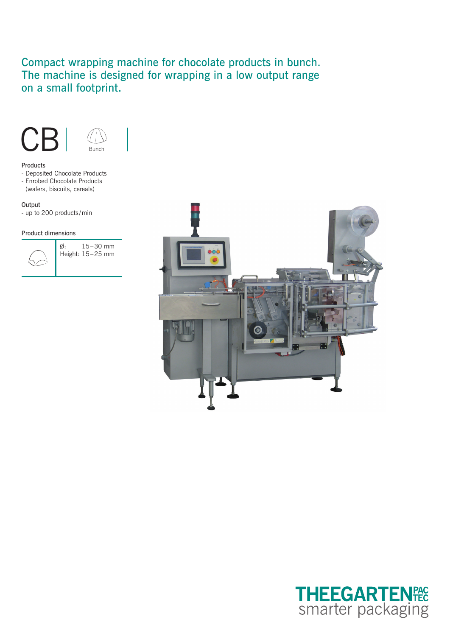# Compact wrapping machine for chocolate products in bunch. The machine is designed for wrapping in a low output range on a small footprint.



#### Products

- Deposited Chocolate Products
- Enrobed Chocolate Products
- (wafers, biscuits, cereals)

# **Output**

- up to 200 products /min

## Product dimensions



Ø: 15–30 mm Height: 15–25 mm